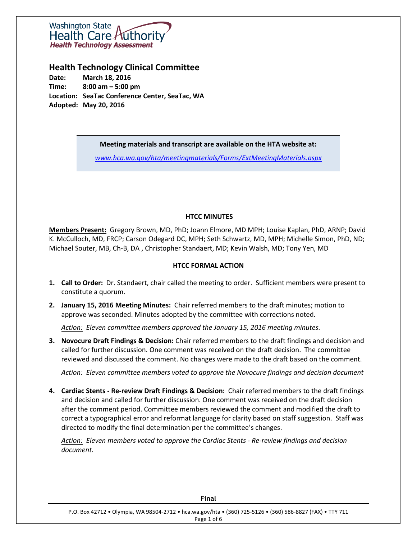

## **Health Technology Clinical Committee**

**Date: March 18, 2016 Time: 8:00 am – 5:00 pm Location: SeaTac Conference Center, SeaTac, WA Adopted: May 20, 2016**

#### **Meeting materials and transcript are available on the HTA website at:**

*[www.hca.wa.gov/hta/meetingmaterials/Forms/ExtMeetingMaterials.aspx](http://www.hca.wa.gov/hta/meetingmaterials/Forms/ExtMeetingMaterials.aspx)*

## **HTCC MINUTES**

**Members Present:** Gregory Brown, MD, PhD; Joann Elmore, MD MPH; Louise Kaplan, PhD, ARNP; David K. McCulloch, MD, FRCP; Carson Odegard DC, MPH; Seth Schwartz, MD, MPH; Michelle Simon, PhD, ND; Michael Souter, MB, Ch-B, DA , Christopher Standaert, MD; Kevin Walsh, MD; Tony Yen, MD

#### **HTCC FORMAL ACTION**

- **1. Call to Order:** Dr. Standaert, chair called the meeting to order. Sufficient members were present to constitute a quorum.
- **2. January 15, 2016 Meeting Minutes:** Chair referred members to the draft minutes; motion to approve was seconded. Minutes adopted by the committee with corrections noted.

*Action: Eleven committee members approved the January 15, 2016 meeting minutes.*

**3. Novocure Draft Findings & Decision:** Chair referred members to the draft findings and decision and called for further discussion. One comment was received on the draft decision. The committee reviewed and discussed the comment. No changes were made to the draft based on the comment.

*Action: Eleven committee members voted to approve the Novocure findings and decision document*

**4. Cardiac Stents - Re-review Draft Findings & Decision:** Chair referred members to the draft findings and decision and called for further discussion. One comment was received on the draft decision after the comment period. Committee members reviewed the comment and modified the draft to correct a typographical error and reformat language for clarity based on staff suggestion. Staff was directed to modify the final determination per the committee's changes.

*Action: Eleven members voted to approve the Cardiac Stents - Re-review findings and decision document.*

| P.O. Box 42712 • Olympia, WA 98504-2712 • hca.wa.gov/hta • (360) 725-5126 • (360) 586-8827 (FAX) • TTY 711 |
|------------------------------------------------------------------------------------------------------------|
|                                                                                                            |
| Page 1 of 6                                                                                                |
|                                                                                                            |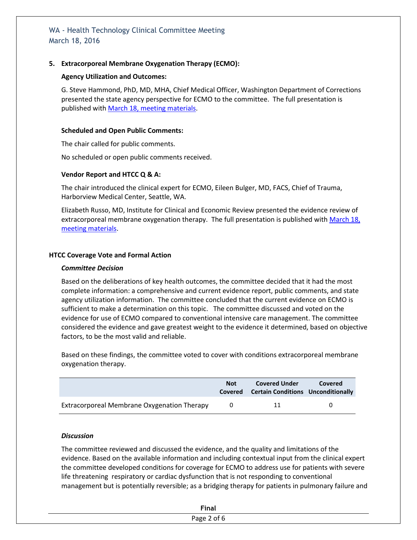## **5. Extracorporeal Membrane Oxygenation Therapy (ECMO):**

## **Agency Utilization and Outcomes:**

G. Steve Hammond, PhD, MD, MHA, Chief Medical Officer, Washington Department of Corrections presented the state agency perspective for ECMO to the committee. The full presentation is published with March 18, [meeting materials.](http://www.hca.wa.gov/hta/meetingmaterials/Forms/ExtMeetingMaterials.aspx)

### **Scheduled and Open Public Comments:**

The chair called for public comments.

No scheduled or open public comments received.

#### **Vendor Report and HTCC Q & A:**

The chair introduced the clinical expert for ECMO, Eileen Bulger, MD, FACS, Chief of Trauma, Harborview Medical Center, Seattle, WA.

Elizabeth Russo, MD, Institute for Clinical and Economic Review presented the evidence review of extracorporeal membrane oxygenation therapy. The full presentation is published with March 18, [meeting materials.](http://www.hca.wa.gov/hta/meetingmaterials/Forms/ExtMeetingMaterials.aspx)

#### **HTCC Coverage Vote and Formal Action**

#### *Committee Decision*

Based on the deliberations of key health outcomes, the committee decided that it had the most complete information: a comprehensive and current evidence report, public comments, and state agency utilization information. The committee concluded that the current evidence on ECMO is sufficient to make a determination on this topic. The committee discussed and voted on the evidence for use of ECMO compared to conventional intensive care management. The committee considered the evidence and gave greatest weight to the evidence it determined, based on objective factors, to be the most valid and reliable.

Based on these findings, the committee voted to cover with conditions extracorporeal membrane oxygenation therapy.

|                                             | <b>Not</b> | <b>Covered Under</b><br>Covered Certain Conditions Unconditionally | Covered |
|---------------------------------------------|------------|--------------------------------------------------------------------|---------|
| Extracorporeal Membrane Oxygenation Therapy |            | 11                                                                 |         |

#### *Discussion*

The committee reviewed and discussed the evidence, and the quality and limitations of the evidence. Based on the available information and including contextual input from the clinical expert the committee developed conditions for coverage for ECMO to address use for patients with severe life threatening respiratory or cardiac dysfunction that is not responding to conventional management but is potentially reversible; as a bridging therapy for patients in pulmonary failure and

| $- \cdot$ |
|-----------|
|           |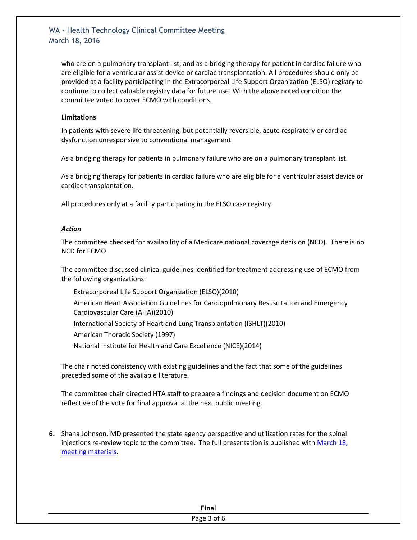who are on a pulmonary transplant list; and as a bridging therapy for patient in cardiac failure who are eligible for a ventricular assist device or cardiac transplantation. All procedures should only be provided at a facility participating in the Extracorporeal Life Support Organization (ELSO) registry to continue to collect valuable registry data for future use. With the above noted condition the committee voted to cover ECMO with conditions.

#### **Limitations**

In patients with severe life threatening, but potentially reversible, acute respiratory or cardiac dysfunction unresponsive to conventional management.

As a bridging therapy for patients in pulmonary failure who are on a pulmonary transplant list.

As a bridging therapy for patients in cardiac failure who are eligible for a ventricular assist device or cardiac transplantation.

All procedures only at a facility participating in the ELSO case registry.

#### *Action*

The committee checked for availability of a Medicare national coverage decision (NCD). There is no NCD for ECMO.

The committee discussed clinical guidelines identified for treatment addressing use of ECMO from the following organizations:

- Extracorporeal Life Support Organization (ELSO)(2010)
- American Heart Association Guidelines for Cardiopulmonary Resuscitation and Emergency Cardiovascular Care (AHA)(2010)
- International Society of Heart and Lung Transplantation (ISHLT)(2010)

American Thoracic Society (1997)

National Institute for Health and Care Excellence (NICE)(2014)

The chair noted consistency with existing guidelines and the fact that some of the guidelines preceded some of the available literature.

The committee chair directed HTA staff to prepare a findings and decision document on ECMO reflective of the vote for final approval at the next public meeting.

**6.** Shana Johnson, MD presented the state agency perspective and utilization rates for the spinal injections re-review topic to the committee. The full presentation is published with [March 18,](http://www.hca.wa.gov/hta/meetingmaterials/Forms/ExtMeetingMaterials.aspx)  [meeting materials.](http://www.hca.wa.gov/hta/meetingmaterials/Forms/ExtMeetingMaterials.aspx)

| <b>Final</b> |  |
|--------------|--|
| ືອ           |  |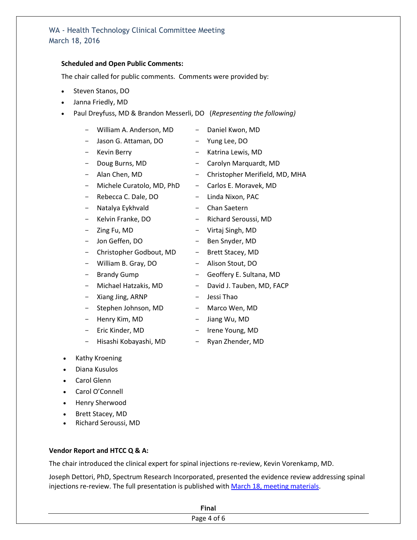### **Scheduled and Open Public Comments:**

The chair called for public comments. Comments were provided by:

- Steven Stanos, DO
- Janna Friedly, MD
- Paul Dreyfuss, MD & Brandon Messerli, DO (*Representing the following)*
	- William A. Anderson, MD Daniel Kwon, MD
	- Jason G. Attaman, DO Yung Lee, DO
	- Kevin Berry  **Katrina Lewis, MD**
	-
	-
	- Michele Curatolo, MD, PhD Carlos E. Moravek, MD
	- Rebecca C. Dale, DO Linda Nixon, PAC
	- Natalya Eykhvald Chan Saetern
	-
	-
	-
	- Christopher Godbout, MD Brett Stacey, MD
	- William B. Gray, DO Alison Stout, DO
	-
	-
	- Xiang Jing, ARNP Jessi Thao
	- Stephen Johnson, MD Marco Wen, MD
	- Henry Kim, MD Jiang Wu, MD
	-
	- Hisashi Kobayashi, MD Ryan Zhender, MD
- Kathy Kroening
- Diana Kusulos
- Carol Glenn
- Carol O'Connell
- Henry Sherwood
- Brett Stacey, MD
- Richard Seroussi, MD

## **Vendor Report and HTCC Q & A:**

The chair introduced the clinical expert for spinal injections re-review, Kevin Vorenkamp, MD.

Joseph Dettori, PhD, Spectrum Research Incorporated, presented the evidence review addressing spinal injections re-review. The full presentation is published with [March 18, meeting](http://www.hca.wa.gov/hta/meetingmaterials/Forms/ExtMeetingMaterials.aspx) materials.

| - -<br> |  |
|---------|--|
| - -     |  |

- 
- 
- Doug Burns, MD Carolyn Marquardt, MD
- Alan Chen, MD Christopher Merifield, MD, MHA
	-
	-
	-
- Kelvin Franke, DO Richard Seroussi, MD
- Zing Fu, MD Virtaj Singh, MD
- Jon Geffen, DO Ben Snyder, MD
	-
	-
- Brandy Gump Geoffery E. Sultana, MD
- Michael Hatzakis, MD David J. Tauben, MD, FACP
	-
	-
	-
- Eric Kinder, MD Irene Young, MD
	-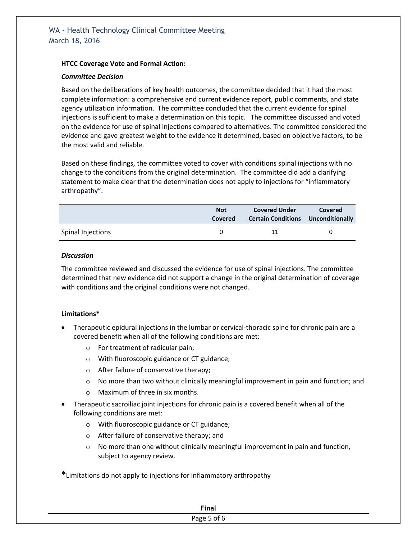## **HTCC Coverage Vote and Formal Action:**

#### *Committee Decision*

Based on the deliberations of key health outcomes, the committee decided that it had the most complete information: a comprehensive and current evidence report, public comments, and state agency utilization information. The committee concluded that the current evidence for spinal injections is sufficient to make a determination on this topic. The committee discussed and voted on the evidence for use of spinal injections compared to alternatives. The committee considered the evidence and gave greatest weight to the evidence it determined, based on objective factors, to be the most valid and reliable.

Based on these findings, the committee voted to cover with conditions spinal injections with no change to the conditions from the original determination. The committee did add a clarifying statement to make clear that the determination does not apply to injections for "inflammatory arthropathy".

|                   | <b>Not</b><br>Covered | <b>Covered Under</b><br><b>Certain Conditions</b> Unconditionally | Covered |
|-------------------|-----------------------|-------------------------------------------------------------------|---------|
| Spinal Injections |                       | 11                                                                |         |

#### *Discussion*

The committee reviewed and discussed the evidence for use of spinal injections. The committee determined that new evidence did not support a change in the original determination of coverage with conditions and the original conditions were not changed.

## **Limitations\***

- Therapeutic epidural injections in the lumbar or cervical-thoracic spine for chronic pain are a covered benefit when all of the following conditions are met:
	- o For treatment of radicular pain;
	- o With fluoroscopic guidance or CT guidance;
	- o After failure of conservative therapy;
	- $\circ$  No more than two without clinically meaningful improvement in pain and function; and
	- o Maximum of three in six months.
- Therapeutic sacroiliac joint injections for chronic pain is a covered benefit when all of the following conditions are met:
	- o With fluoroscopic guidance or CT guidance;
	- o After failure of conservative therapy; and
	- $\circ$  No more than one without clinically meaningful improvement in pain and function, subject to agency review.

**\***Limitations do not apply to injections for inflammatory arthropathy

| <b>Final</b> |
|--------------|
| Page 5 of 6  |